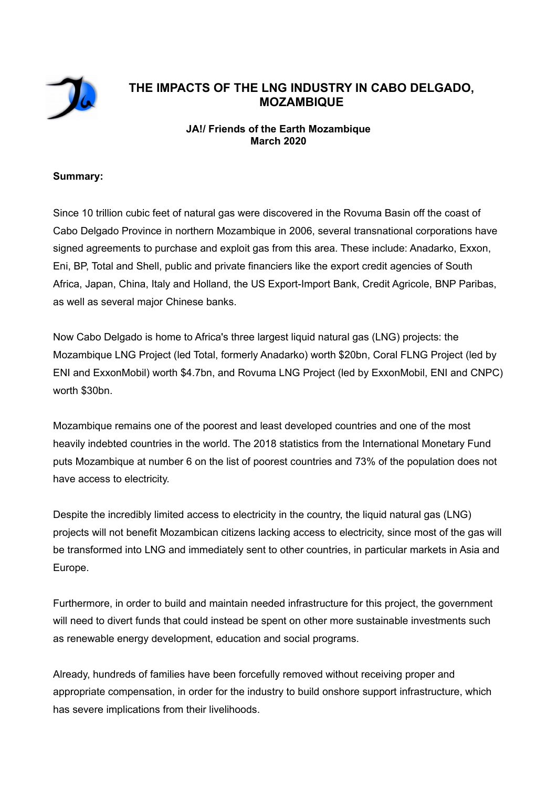

# **THE IMPACTS OF THE LNG INDUSTRY IN CABO DELGADO, MOZAMBIQUE**

# **JA!/ Friends of the Earth Mozambique March 2020**

#### **Summary:**

Since 10 trillion cubic feet of natural gas were discovered in the Rovuma Basin off the coast of Cabo Delgado Province in northern Mozambique in 2006, several transnational corporations have signed agreements to purchase and exploit gas from this area. These include: Anadarko, Exxon, Eni, BP, Total and Shell, public and private financiers like the export credit agencies of South Africa, Japan, China, Italy and Holland, the US Export-Import Bank, Credit Agricole, BNP Paribas, as well as several major Chinese banks.

Now Cabo Delgado is home to Africa's three largest liquid natural gas (LNG) projects: the Mozambique LNG Project (led Total, formerly Anadarko) worth \$20bn, Coral FLNG Project (led by ENI and ExxonMobil) worth \$4.7bn, and Rovuma LNG Project (led by ExxonMobil, ENI and CNPC) worth \$30bn.

Mozambique remains one of the poorest and least developed countries and one of the most heavily indebted countries in the world. The 2018 statistics from the International Monetary Fund puts Mozambique at number 6 on the list of poorest countries and 73% of the population does not have access to electricity.

Despite the incredibly limited access to electricity in the country, the liquid natural gas (LNG) projects will not benefit Mozambican citizens lacking access to electricity, since most of the gas will be transformed into LNG and immediately sent to other countries, in particular markets in Asia and Europe.

Furthermore, in order to build and maintain needed infrastructure for this project, the government will need to divert funds that could instead be spent on other more sustainable investments such as renewable energy development, education and social programs.

Already, hundreds of families have been forcefully removed without receiving proper and appropriate compensation, in order for the industry to build onshore support infrastructure, which has severe implications from their livelihoods.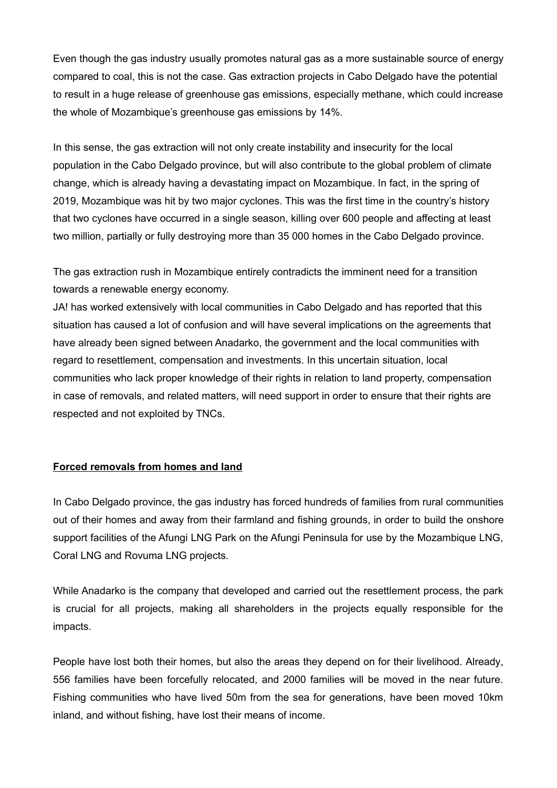Even though the gas industry usually promotes natural gas as a more sustainable source of energy compared to coal, this is not the case. Gas extraction projects in Cabo Delgado have the potential to result in a huge release of greenhouse gas emissions, especially methane, which could increase the whole of Mozambique's greenhouse gas emissions by 14%.

In this sense, the gas extraction will not only create instability and insecurity for the local population in the Cabo Delgado province, but will also contribute to the global problem of climate change, which is already having a devastating impact on Mozambique. In fact, in the spring of 2019, Mozambique was hit by two major cyclones. This was the first time in the country's history that two cyclones have occurred in a single season, killing over 600 people and affecting at least two million, partially or fully destroying more than 35 000 homes in the Cabo Delgado province.

The gas extraction rush in Mozambique entirely contradicts the imminent need for a transition towards a renewable energy economy.

JA! has worked extensively with local communities in Cabo Delgado and has reported that this situation has caused a lot of confusion and will have several implications on the agreements that have already been signed between Anadarko, the government and the local communities with regard to resettlement, compensation and investments. In this uncertain situation, local communities who lack proper knowledge of their rights in relation to land property, compensation in case of removals, and related matters, will need support in order to ensure that their rights are respected and not exploited by TNCs.

### **Forced removals from homes and land**

In Cabo Delgado province, the gas industry has forced hundreds of families from rural communities out of their homes and away from their farmland and fishing grounds, in order to build the onshore support facilities of the Afungi LNG Park on the Afungi Peninsula for use by the Mozambique LNG, Coral LNG and Rovuma LNG projects.

While Anadarko is the company that developed and carried out the resettlement process, the park is crucial for all projects, making all shareholders in the projects equally responsible for the impacts.

People have lost both their homes, but also the areas they depend on for their livelihood. Already, 556 families have been forcefully relocated, and 2000 families will be moved in the near future. Fishing communities who have lived 50m from the sea for generations, have been moved 10km inland, and without fishing, have lost their means of income.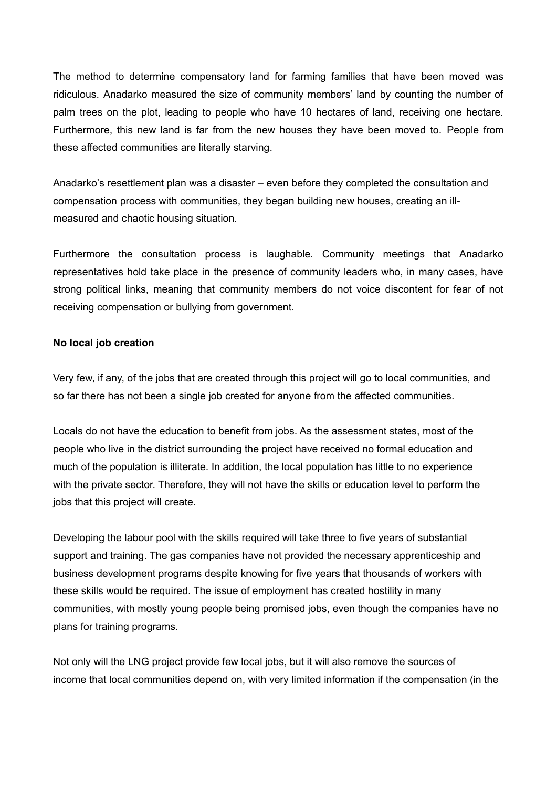The method to determine compensatory land for farming families that have been moved was ridiculous. Anadarko measured the size of community members' land by counting the number of palm trees on the plot, leading to people who have 10 hectares of land, receiving one hectare. Furthermore, this new land is far from the new houses they have been moved to. People from these affected communities are literally starving.

Anadarko's resettlement plan was a disaster – even before they completed the consultation and compensation process with communities, they began building new houses, creating an illmeasured and chaotic housing situation.

Furthermore the consultation process is laughable. Community meetings that Anadarko representatives hold take place in the presence of community leaders who, in many cases, have strong political links, meaning that community members do not voice discontent for fear of not receiving compensation or bullying from government.

## **No local job creation**

Very few, if any, of the jobs that are created through this project will go to local communities, and so far there has not been a single job created for anyone from the affected communities.

Locals do not have the education to benefit from jobs. As the assessment states, most of the people who live in the district surrounding the project have received no formal education and much of the population is illiterate. In addition, the local population has little to no experience with the private sector. Therefore, they will not have the skills or education level to perform the jobs that this project will create.

Developing the labour pool with the skills required will take three to five years of substantial support and training. The gas companies have not provided the necessary apprenticeship and business development programs despite knowing for five years that thousands of workers with these skills would be required. The issue of employment has created hostility in many communities, with mostly young people being promised jobs, even though the companies have no plans for training programs.

Not only will the LNG project provide few local jobs, but it will also remove the sources of income that local communities depend on, with very limited information if the compensation (in the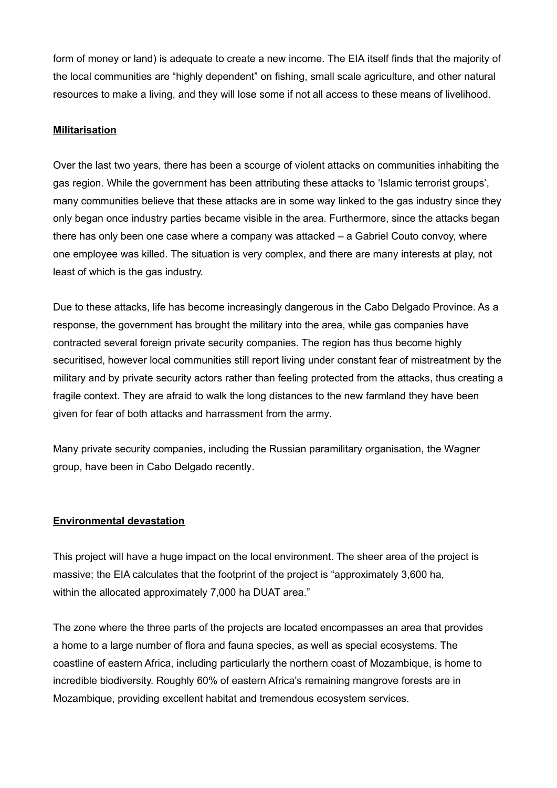form of money or land) is adequate to create a new income. The EIA itself finds that the majority of the local communities are "highly dependent" on fishing, small scale agriculture, and other natural resources to make a living, and they will lose some if not all access to these means of livelihood.

## **Militarisation**

Over the last two years, there has been a scourge of violent attacks on communities inhabiting the gas region. While the government has been attributing these attacks to 'Islamic terrorist groups', many communities believe that these attacks are in some way linked to the gas industry since they only began once industry parties became visible in the area. Furthermore, since the attacks began there has only been one case where a company was attacked – a Gabriel Couto convoy, where one employee was killed. The situation is very complex, and there are many interests at play, not least of which is the gas industry.

Due to these attacks, life has become increasingly dangerous in the Cabo Delgado Province. As a response, the government has brought the military into the area, while gas companies have contracted several foreign private security companies. The region has thus become highly securitised, however local communities still report living under constant fear of mistreatment by the military and by private security actors rather than feeling protected from the attacks, thus creating a fragile context. They are afraid to walk the long distances to the new farmland they have been given for fear of both attacks and harrassment from the army.

Many private security companies, including the Russian paramilitary organisation, the Wagner group, have been in Cabo Delgado recently.

#### **Environmental devastation**

This project will have a huge impact on the local environment. The sheer area of the project is massive; the EIA calculates that the footprint of the project is "approximately 3,600 ha, within the allocated approximately 7,000 ha DUAT area."

The zone where the three parts of the projects are located encompasses an area that provides a home to a large number of flora and fauna species, as well as special ecosystems. The coastline of eastern Africa, including particularly the northern coast of Mozambique, is home to incredible biodiversity. Roughly 60% of eastern Africa's remaining mangrove forests are in Mozambique, providing excellent habitat and tremendous ecosystem services.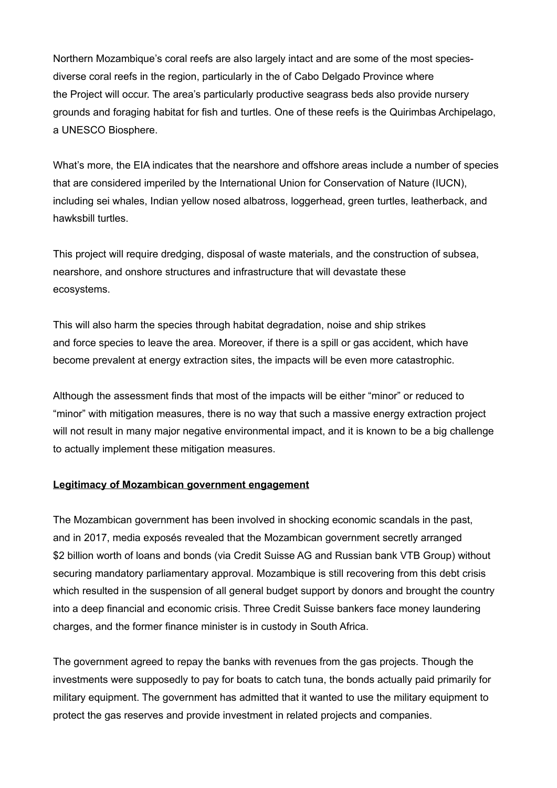Northern Mozambique's coral reefs are also largely intact and are some of the most speciesdiverse coral reefs in the region, particularly in the of Cabo Delgado Province where the Project will occur. The area's particularly productive seagrass beds also provide nursery grounds and foraging habitat for fish and turtles. One of these reefs is the Quirimbas Archipelago, a UNESCO Biosphere.

What's more, the EIA indicates that the nearshore and offshore areas include a number of species that are considered imperiled by the International Union for Conservation of Nature (IUCN), including sei whales, Indian yellow nosed albatross, loggerhead, green turtles, leatherback, and hawksbill turtles.

This project will require dredging, disposal of waste materials, and the construction of subsea, nearshore, and onshore structures and infrastructure that will devastate these ecosystems.

This will also harm the species through habitat degradation, noise and ship strikes and force species to leave the area. Moreover, if there is a spill or gas accident, which have become prevalent at energy extraction sites, the impacts will be even more catastrophic.

Although the assessment finds that most of the impacts will be either "minor" or reduced to "minor" with mitigation measures, there is no way that such a massive energy extraction project will not result in many major negative environmental impact, and it is known to be a big challenge to actually implement these mitigation measures.

#### **Legitimacy of Mozambican government engagement**

The Mozambican government has been involved in shocking economic scandals in the past, and in 2017, media exposés revealed that the Mozambican government secretly arranged \$2 billion worth of loans and bonds (via Credit Suisse AG and Russian bank VTB Group) without securing mandatory parliamentary approval. Mozambique is still recovering from this debt crisis which resulted in the suspension of all general budget support by donors and brought the country into a deep financial and economic crisis. Three Credit Suisse bankers face money laundering charges, and the former finance minister is in custody in South Africa.

The government agreed to repay the banks with revenues from the gas projects. Though the investments were supposedly to pay for boats to catch tuna, the bonds actually paid primarily for military equipment. The government has admitted that it wanted to use the military equipment to protect the gas reserves and provide investment in related projects and companies.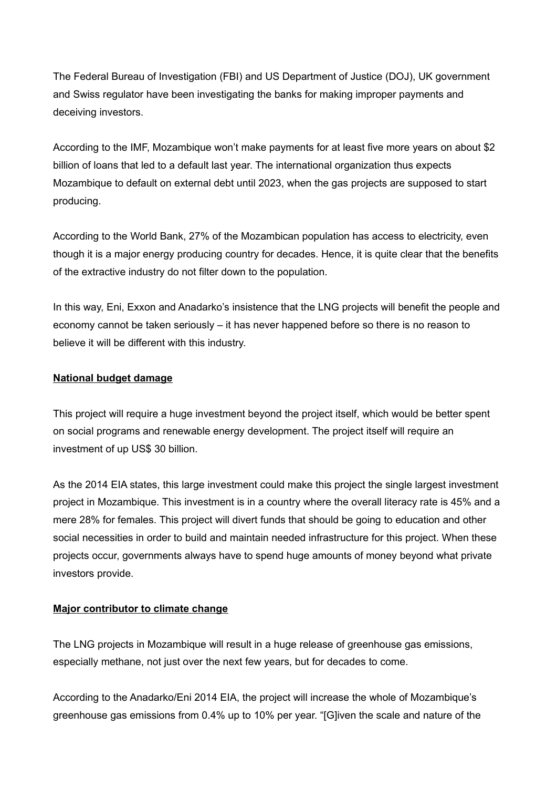The Federal Bureau of Investigation (FBI) and US Department of Justice (DOJ), UK government and Swiss regulator have been investigating the banks for making improper payments and deceiving investors.

According to the IMF, Mozambique won't make payments for at least five more years on about \$2 billion of loans that led to a default last year. The international organization thus expects Mozambique to default on external debt until 2023, when the gas projects are supposed to start producing.

According to the World Bank, 27% of the Mozambican population has access to electricity, even though it is a major energy producing country for decades. Hence, it is quite clear that the benefits of the extractive industry do not filter down to the population.

In this way, Eni, Exxon and Anadarko's insistence that the LNG projects will benefit the people and economy cannot be taken seriously – it has never happened before so there is no reason to believe it will be different with this industry.

## **National budget damage**

This project will require a huge investment beyond the project itself, which would be better spent on social programs and renewable energy development. The project itself will require an investment of up US\$ 30 billion.

As the 2014 EIA states, this large investment could make this project the single largest investment project in Mozambique. This investment is in a country where the overall literacy rate is 45% and a mere 28% for females. This project will divert funds that should be going to education and other social necessities in order to build and maintain needed infrastructure for this project. When these projects occur, governments always have to spend huge amounts of money beyond what private investors provide.

# **Major contributor to climate change**

The LNG projects in Mozambique will result in a huge release of greenhouse gas emissions, especially methane, not just over the next few years, but for decades to come.

According to the Anadarko/Eni 2014 EIA, the project will increase the whole of Mozambique's greenhouse gas emissions from 0.4% up to 10% per year. "[G]iven the scale and nature of the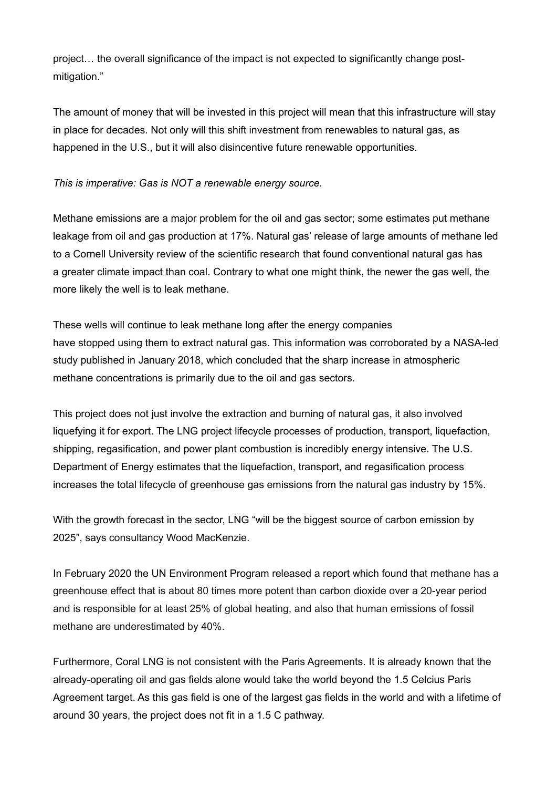project… the overall significance of the impact is not expected to significantly change postmitigation."

The amount of money that will be invested in this project will mean that this infrastructure will stay in place for decades. Not only will this shift investment from renewables to natural gas, as happened in the U.S., but it will also disincentive future renewable opportunities.

# *This is imperative: Gas is NOT a renewable energy source.*

Methane emissions are a major problem for the oil and gas sector; some estimates put methane leakage from oil and gas production at 17%. Natural gas' release of large amounts of methane led to a Cornell University review of the scientific research that found conventional natural gas has a greater climate impact than coal. Contrary to what one might think, the newer the gas well, the more likely the well is to leak methane.

These wells will continue to leak methane long after the energy companies have stopped using them to extract natural gas. This information was corroborated by a NASA-led study published in January 2018, which concluded that the sharp increase in atmospheric methane concentrations is primarily due to the oil and gas sectors.

This project does not just involve the extraction and burning of natural gas, it also involved liquefying it for export. The LNG project lifecycle processes of production, transport, liquefaction, shipping, regasification, and power plant combustion is incredibly energy intensive. The U.S. Department of Energy estimates that the liquefaction, transport, and regasification process increases the total lifecycle of greenhouse gas emissions from the natural gas industry by 15%.

With the growth forecast in the sector, LNG "will be the biggest source of carbon emission by 2025", says consultancy Wood MacKenzie.

In February 2020 the UN Environment Program released a report which found that methane has a greenhouse effect that is about 80 times more potent than carbon dioxide over a 20-year period and is responsible for at least 25% of global heating, and also that human emissions of fossil methane are underestimated by 40%.

Furthermore, Coral LNG is not consistent with the Paris Agreements. It is already known that the already-operating oil and gas fields alone would take the world beyond the 1.5 Celcius Paris Agreement target. As this gas field is one of the largest gas fields in the world and with a lifetime of around 30 years, the project does not fit in a 1.5 C pathway.